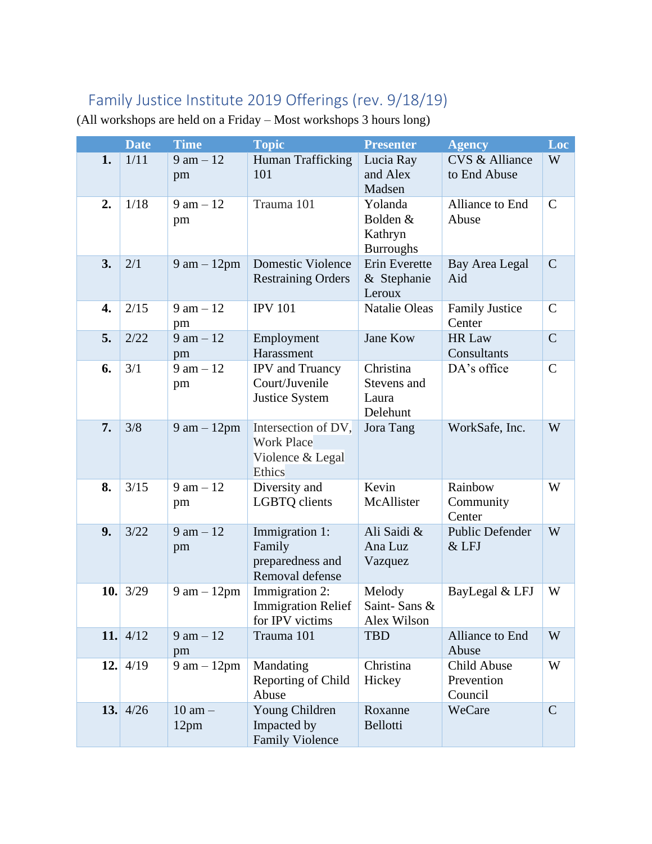## Family Justice Institute 2019 Offerings (rev. 9/18/19)

|     | <b>Date</b> | <b>Time</b>                   | <b>Topic</b>                                                           | <b>Presenter</b>                                   | <b>Agency</b>                        | Loc           |
|-----|-------------|-------------------------------|------------------------------------------------------------------------|----------------------------------------------------|--------------------------------------|---------------|
| 1.  | 1/11        | $9 \text{ am} - 12$<br>pm     | Human Trafficking<br>101                                               | Lucia Ray<br>and Alex<br>Madsen                    | CVS & Alliance<br>to End Abuse       | W             |
| 2.  | 1/18        | $9 \text{ am} - 12$<br>pm     | Trauma 101                                                             | Yolanda<br>Bolden &<br>Kathryn<br><b>Burroughs</b> | Alliance to End<br>Abuse             | $\mathcal{C}$ |
| 3.  | 2/1         | $9$ am $-12$ pm               | Domestic Violence<br><b>Restraining Orders</b>                         | Erin Everette<br>& Stephanie<br>Leroux             | Bay Area Legal<br>Aid                | $\mathcal{C}$ |
| 4.  | 2/15        | $9 \text{ am} - 12$<br>pm     | <b>IPV 101</b>                                                         | <b>Natalie Oleas</b>                               | <b>Family Justice</b><br>Center      | $\mathbf C$   |
| 5.  | 2/22        | $9 \text{ am} - 12$<br>pm     | Employment<br>Harassment                                               | Jane Kow                                           | HR Law<br>Consultants                | $\mathcal{C}$ |
| 6.  | 3/1         | $9$ am $-12$<br>pm            | <b>IPV</b> and Truancy<br>Court/Juvenile<br><b>Justice System</b>      | Christina<br>Stevens and<br>Laura<br>Delehunt      | DA's office                          | $\mathsf{C}$  |
| 7.  | 3/8         | $9 \text{ am} - 12 \text{pm}$ | Intersection of DV,<br><b>Work Place</b><br>Violence & Legal<br>Ethics | Jora Tang                                          | WorkSafe, Inc.                       | W             |
| 8.  | 3/15        | $9 \text{ am} - 12$<br>pm     | Diversity and<br>LGBTQ clients                                         | Kevin<br>McAllister                                | Rainbow<br>Community<br>Center       | W             |
| 9.  | 3/22        | $9 \text{ am} - 12$<br>pm     | Immigration 1:<br>Family<br>preparedness and<br>Removal defense        | Ali Saidi &<br>Ana Luz<br>Vazquez                  | <b>Public Defender</b><br>& LFJ      | W             |
| 10. | 3/29        | $9 \text{ am} - 12 \text{pm}$ | Immigration 2:<br><b>Immigration Relief</b><br>for IPV victims         | Melody<br>Saint-Sans &<br>Alex Wilson              | BayLegal & LFJ                       | W             |
|     | 11.4/12     | $9 \text{ am} - 12$<br>pm     | Trauma 101                                                             | <b>TBD</b>                                         | Alliance to End<br>Abuse             | W             |
| 12. | 4/19        | $9 \text{ am} - 12 \text{pm}$ | Mandating<br>Reporting of Child<br>Abuse                               | Christina<br>Hickey                                | Child Abuse<br>Prevention<br>Council | W             |
|     | 13. $4/26$  | $10$ am $-$<br>12pm           | Young Children<br>Impacted by<br><b>Family Violence</b>                | Roxanne<br><b>Bellotti</b>                         | WeCare                               | $\mathsf{C}$  |

(All workshops are held on a Friday – Most workshops 3 hours long)